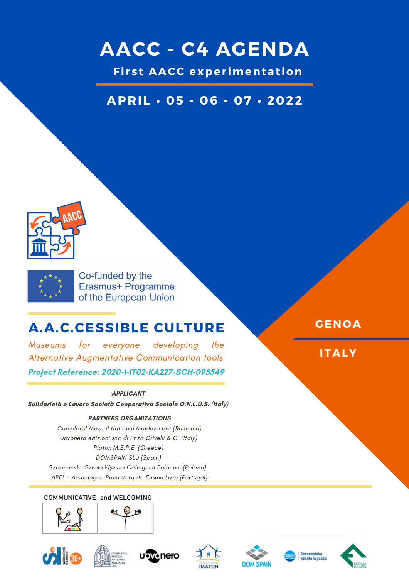## **AACC - C4 AGENDA**

**Fi r s t AACC exper imentat ion**

## **APRIL • 05 - 06 - 07 • 2022**





Co-funded by the Erasmus+ Programme of the European Union

## **A.A.C.CESSIBLE CULTURE**

Museums for everyone developing the Alternative Augmentative Communication tools **Project Reference: 2020-1-IT02-KA227-SCH-095549**

### **APPLICANT**

**Solidarietà e Lavoro Società Cooperativa Sociale O.N.L.U.S. (Italy)**

### **PARTNERS ORGANIZATIONS**

Complexul Muzeal National Moldova Iasi (Romania) Uovonero edizioni snc di Enza Crivelli & C. (Italy) Platon M.E.P.E. (Greece) DOMSPAIN SLU (Spain) Szczecinska Szkola Wyzsza Collegium Balticum (Poland) APEL - Associação Promotora do Ensino Livre (Portugal)

### COMMUNICATIVE and WELCOMING















**GENOA**

**ITALY**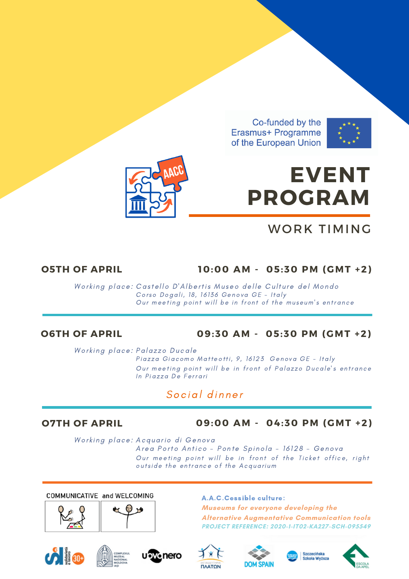



# **EVENT PROGRAM**

## WORK TIMING

### **O5TH OF APRIL 10:00 AM - 05:30 PM (GMT +2)**

Working place: [C](https://www.museidigenova.it/it/castello-dalbertis-museo-delle-culture-del-mondo)astello [D'Alberti](https://www.museidigenova.it/it/castello-dalbertis-museo-delle-culture-del-mondo)s Museo delle Culture del Mondo Corso Dogali, 18, 16136 Genova GE - Italy Our [meeti](https://context.reverso.net/traduzione/inglese-italiano/meeting+point)ng point will be in front of the museum's entrance

### **O6TH OF APRIL 09:30 AM - 05:30 PM (GMT +2)**

Working place: Palazzo Ducale Piazza Giacomo Matteotti, 9, 16123 Genova GE - Italy Our [meeti](https://context.reverso.net/traduzione/inglese-italiano/meeting+point)ng point will be in front of Palazzo Ducale's entrance In Piazza De Ferrari

### Social dinner

### **O7TH OF APRIL 09:00 AM - 04:30 PM (GMT +2)**

Working place: Acquario di Genova Area Porto Antico - Ponte Spinola - 16128 - Genova Our [meeti](https://context.reverso.net/traduzione/inglese-italiano/meeting+point)ng point will be in front of the Ticket office, right outside the entrance of the Acquarium

COMMUNICATIVE and WELCOMING





### A.A.C.Cessible culture:

**Museums for everyone developing the Alternative Augmentative Communication tools PROJECT REFERENCE: 2020-1-IT02-KA227-SCH-095549**













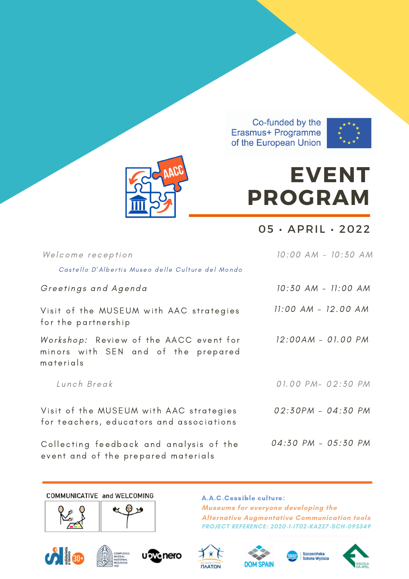



# **EVENT PROGRAM**

 $05 \cdot APRIL \cdot 2022$ 

| Welcome reception                                                                          | 10:00 AM - 10:30 AM |
|--------------------------------------------------------------------------------------------|---------------------|
| Castello D'Albertis Museo delle Culture del Mondo                                          |                     |
| Greetings and Agenda                                                                       | 10:30 AM - 11:00 AM |
| Visit of the MUSEUM with AAC strategies<br>for the partnership                             | 11:00 AM - 12.00 AM |
| Workshop: Review of the AACC event for<br>minors with SEN and of the prepared<br>materials | 12:00AM - 01.00 PM  |
| Lunch Break                                                                                | 01.00 PM- 02:30 PM  |
| Visit of the MUSEUM with AAC strategies<br>for teachers, educators and associations        | 02:30PM - 04:30 PM  |
| Collecting feedback and analysis of the<br>event and of the prepared materials             | 04:30 PM - 05:30 PM |

COMMUNICATIVE and WELCOMING





A.A.C.Cessible culture: Museums for everyone developing the **Alternative Augmentative Communication tools PROJECT REFERENCE: 2020-1-IT02-KA227-SCH-095549** 













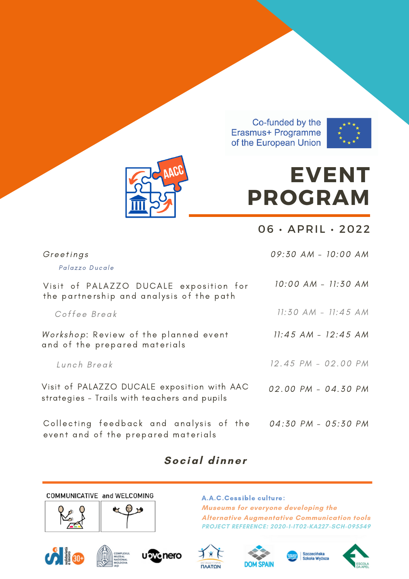



# **EVENT PROGRAM**

06 • APRIL • 2022

| Greetings<br>Palazzo Ducale                                                                 | 09:30 AM - 10:00 AM     |
|---------------------------------------------------------------------------------------------|-------------------------|
| Visit of PALAZZO DUCALE exposition for<br>the partnership and analysis of the path          | 10:00 AM - 11:30 AM     |
| Coffee Break                                                                                | $11:30$ AM - $11:45$ AM |
| Workshop: Review of the planned event<br>and of the prepared materials                      | $11:45$ AM - $12:45$ AM |
| Lunch Break                                                                                 | 12.45 PM - 02.00 PM     |
| Visit of PALAZZO DUCALE exposition with AAC<br>strategies - Trails with teachers and pupils | 02.00 PM - 04.30 PM     |
| Collecting feedback and analysis of the<br>event and of the prepared materials              | 04:30 PM - 05:30 PM     |

## **Social dinner**

COMMUNICATIVE and WELCOMING





A.A.C.Cessible culture: **Museums for everyone developing the Alternative Augmentative Communication tools PROJECT REFERENCE: 2020-1-IT02-KA227-SCH-095549**